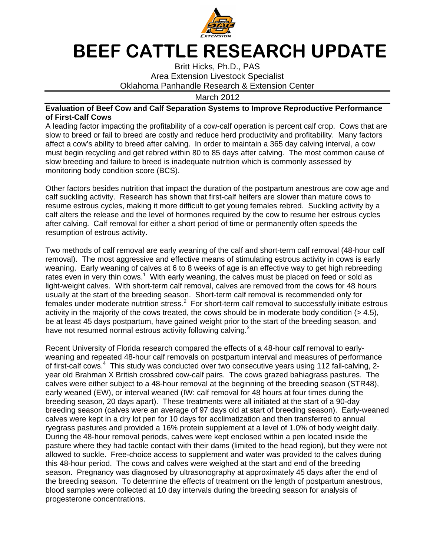

## BEEF CATTLE RESEARCH UPDATE

Britt Hicks, Ph.D., PAS Area Extension Livestock Specialist Oklahoma Panhandle Research & Extension Center

March 2012

## **Evaluation of Beef Cow and Calf Separation Systems to Improve Reproductive Performance of First-Calf Cows**

A leading factor impacting the profitability of a cow-calf operation is percent calf crop. Cows that are slow to breed or fail to breed are costly and reduce herd productivity and profitability. Many factors affect a cow's ability to breed after calving. In order to maintain a 365 day calving interval, a cow must begin recycling and get rebred within 80 to 85 days after calving. The most common cause of slow breeding and failure to breed is inadequate nutrition which is commonly assessed by monitoring body condition score (BCS).

Other factors besides nutrition that impact the duration of the postpartum anestrous are cow age and calf suckling activity. Research has shown that first-calf heifers are slower than mature cows to resume estrous cycles, making it more difficult to get young females rebred. Suckling activity by a calf alters the release and the level of hormones required by the cow to resume her estrous cycles after calving. Calf removal for either a short period of time or permanently often speeds the resumption of estrous activity.

Two methods of calf removal are early weaning of the calf and short-term calf removal (48-hour calf removal). The most aggressive and effective means of stimulating estrous activity in cows is early weaning. Early weaning of calves at 6 to 8 weeks of age is an effective way to get high rebreeding rates even in very thin cows.<sup>1</sup> With early weaning, the calves must be placed on feed or sold as light-weight calves. With short-term calf removal, calves are removed from the cows for 48 hours usually at the start of the breeding season. Short-term calf removal is recommended only for females under moderate nutrition stress. $2$  For short-term calf removal to successfully initiate estrous activity in the majority of the cows treated, the cows should be in moderate body condition (> 4.5), be at least 45 days postpartum, have gained weight prior to the start of the breeding season, and have not resumed normal estrous activity following calving. $3$ 

Recent University of Florida research compared the effects of a 48-hour calf removal to earlyweaning and repeated 48-hour calf removals on postpartum interval and measures of performance of first-calf cows.<sup>4</sup> This study was conducted over two consecutive years using 112 fall-calving, 2year old Brahman X British crossbred cow-calf pairs. The cows grazed bahiagrass pastures. The calves were either subject to a 48-hour removal at the beginning of the breeding season (STR48), early weaned (EW), or interval weaned (IW: calf removal for 48 hours at four times during the breeding season, 20 days apart). These treatments were all initiated at the start of a 90-day breeding season (calves were an average of 97 days old at start of breeding season). Early-weaned calves were kept in a dry lot pen for 10 days for acclimatization and then transferred to annual ryegrass pastures and provided a 16% protein supplement at a level of 1.0% of body weight daily. During the 48-hour removal periods, calves were kept enclosed within a pen located inside the pasture where they had tactile contact with their dams (limited to the head region), but they were not allowed to suckle. Free-choice access to supplement and water was provided to the calves during this 48-hour period. The cows and calves were weighed at the start and end of the breeding season. Pregnancy was diagnosed by ultrasonography at approximately 45 days after the end of the breeding season. To determine the effects of treatment on the length of postpartum anestrous, blood samples were collected at 10 day intervals during the breeding season for analysis of progesterone concentrations.